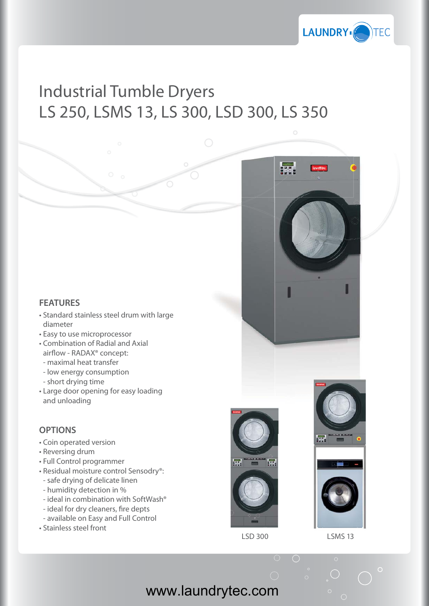

## Industrial Tumble Dryers LS 250, LSMS 13, LS 300, LSD 300, LS 350

## **FEATURES**

- Standard stainless steel drum with large diameter
- Easy to use microprocessor
- Combination of Radial and Axial airflow - RADAX<sup>®</sup> concept:
- maximal heat transfer
- low energy consumption
- short drying time
- Large door opening for easy loading and unloading

## **OPTIONS**

- Coin operated version
- Reversing drum
- Full Control programmer
- Residual moisture control Sensodry®:
- safe drying of delicate linen
- humidity detection in %
- ideal in combination with SoftWash®
- ideal for dry cleaners, fire depts
- available on Easy and Full Control
- Stainless steel front







LSD 300 LSMS 13

www.laundrytec.com